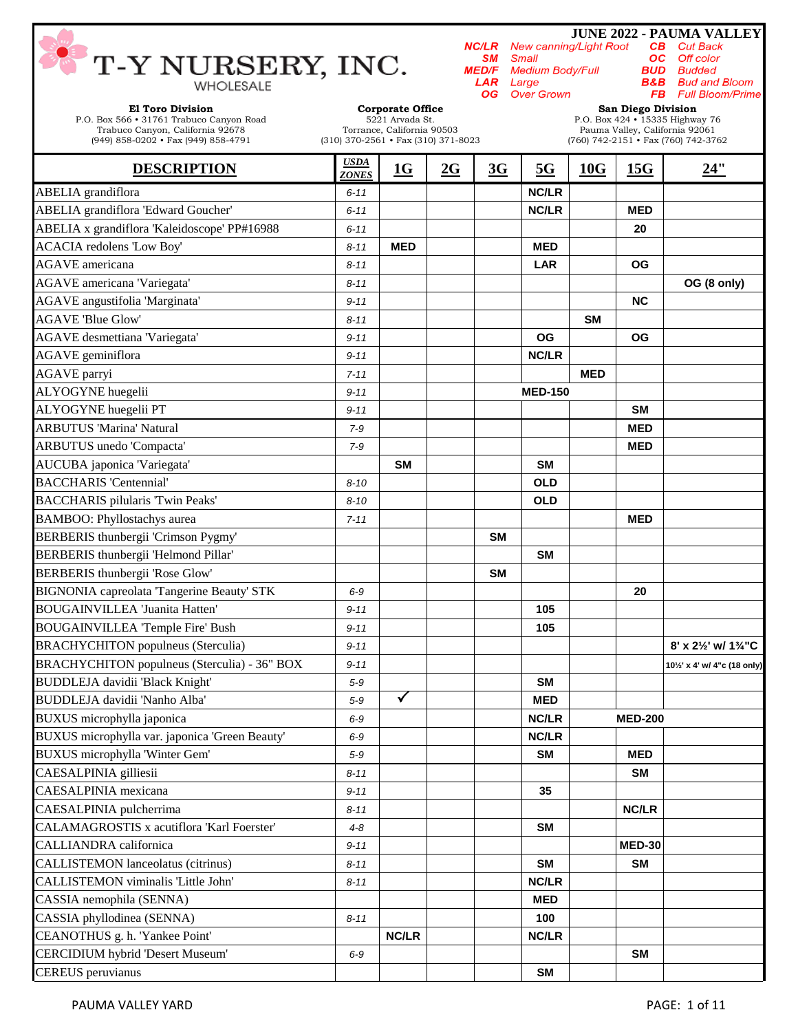T-Y NURSERY, INC. WHOLESALE

**JUNE 2022 - PAUMA VALLEY**<br>**NC/LR** New canning/Light Root **CB** Cut Back **SM Small MED/F** LAR Large

Medium Body/Full

**OG** Over Grown

OC Off color **BUD** Budded B&B **Bud and Bloom** 

**FB** Full Bloom/Prime

**El Toro Division** P.O. Box 566 • 31761 Trabuco Canyon Road Trabuco Canyon, California 92678 (949) 858-0202 • Fax (949) 858-4791

**Corporate Office** 5221 Arvada St. Torrance, California 90503 (310) 370-2561 • Fax (310) 371-8023

| <b>DESCRIPTION</b>                             | <b>USDA</b><br><b>ZONES</b> | 1G           | 2G | 3G        | 5G             | 10G        | 15G            | 24"                          |
|------------------------------------------------|-----------------------------|--------------|----|-----------|----------------|------------|----------------|------------------------------|
| <b>ABELIA</b> grandiflora                      | $6 - 11$                    |              |    |           | <b>NC/LR</b>   |            |                |                              |
| <b>ABELIA</b> grandiflora 'Edward Goucher'     | $6 - 11$                    |              |    |           | <b>NC/LR</b>   |            | <b>MED</b>     |                              |
| ABELIA x grandiflora 'Kaleidoscope' PP#16988   | $6 - 11$                    |              |    |           |                |            | 20             |                              |
| <b>ACACIA</b> redolens 'Low Boy'               | $8 - 11$                    | <b>MED</b>   |    |           | <b>MED</b>     |            |                |                              |
| <b>AGAVE</b> americana                         | $8 - 11$                    |              |    |           | <b>LAR</b>     |            | <b>OG</b>      |                              |
| <b>AGAVE</b> americana 'Variegata'             | $8 - 11$                    |              |    |           |                |            |                | OG (8 only)                  |
| AGAVE angustifolia 'Marginata'                 | $9 - 11$                    |              |    |           |                |            | <b>NC</b>      |                              |
| <b>AGAVE 'Blue Glow'</b>                       | $8 - 11$                    |              |    |           |                | <b>SM</b>  |                |                              |
| <b>AGAVE</b> desmettiana 'Variegata'           | $9 - 11$                    |              |    |           | OG             |            | <b>OG</b>      |                              |
| <b>AGAVE</b> geminiflora                       | $9 - 11$                    |              |    |           | <b>NC/LR</b>   |            |                |                              |
| <b>AGAVE</b> parryi                            | $7 - 11$                    |              |    |           |                | <b>MED</b> |                |                              |
| ALYOGYNE huegelii                              | $9 - 11$                    |              |    |           | <b>MED-150</b> |            |                |                              |
| ALYOGYNE huegelii PT                           | $9 - 11$                    |              |    |           |                |            | <b>SM</b>      |                              |
| <b>ARBUTUS 'Marina' Natural</b>                | $7-9$                       |              |    |           |                |            | <b>MED</b>     |                              |
| <b>ARBUTUS</b> unedo 'Compacta'                | $7-9$                       |              |    |           |                |            | <b>MED</b>     |                              |
| AUCUBA japonica 'Variegata'                    |                             | <b>SM</b>    |    |           | <b>SM</b>      |            |                |                              |
| <b>BACCHARIS 'Centennial'</b>                  | $8 - 10$                    |              |    |           | <b>OLD</b>     |            |                |                              |
| <b>BACCHARIS</b> pilularis 'Twin Peaks'        | $8 - 10$                    |              |    |           | <b>OLD</b>     |            |                |                              |
| <b>BAMBOO: Phyllostachys aurea</b>             | $7 - 11$                    |              |    |           |                |            | <b>MED</b>     |                              |
| BERBERIS thunbergii 'Crimson Pygmy'            |                             |              |    | <b>SM</b> |                |            |                |                              |
| BERBERIS thunbergii 'Helmond Pillar'           |                             |              |    |           | <b>SM</b>      |            |                |                              |
| BERBERIS thunbergii 'Rose Glow'                |                             |              |    | <b>SM</b> |                |            |                |                              |
| BIGNONIA capreolata 'Tangerine Beauty' STK     | $6-9$                       |              |    |           |                |            | 20             |                              |
| <b>BOUGAINVILLEA 'Juanita Hatten'</b>          | $9 - 11$                    |              |    |           | 105            |            |                |                              |
| <b>BOUGAINVILLEA Temple Fire' Bush</b>         | $9 - 11$                    |              |    |           | 105            |            |                |                              |
| <b>BRACHYCHITON</b> populneus (Sterculia)      | $9 - 11$                    |              |    |           |                |            |                | 8' x 21/2' w/ 13/4"C         |
| BRACHYCHITON populneus (Sterculia) - 36" BOX   | $9 - 11$                    |              |    |           |                |            |                | 101/2' x 4' w/ 4"c (18 only) |
| BUDDLEJA davidii 'Black Knight'                | $5-9$                       |              |    |           | <b>SM</b>      |            |                |                              |
| BUDDLEJA davidii 'Nanho Alba'                  | $5-9$                       | $\checkmark$ |    |           | <b>MED</b>     |            |                |                              |
| BUXUS microphylla japonica                     | $6-9$                       |              |    |           | <b>NC/LR</b>   |            | <b>MED-200</b> |                              |
| BUXUS microphylla var. japonica 'Green Beauty' | 6-9                         |              |    |           | <b>NC/LR</b>   |            |                |                              |
| <b>BUXUS</b> microphylla 'Winter Gem'          | 5-9                         |              |    |           | <b>SM</b>      |            | <b>MED</b>     |                              |
| CAESALPINIA gilliesii                          | $8 - 11$                    |              |    |           |                |            | <b>SM</b>      |                              |
| CAESALPINIA mexicana                           | $9 - 11$                    |              |    |           | 35             |            |                |                              |
| CAESALPINIA pulcherrima                        | $8 - 11$                    |              |    |           |                |            | <b>NC/LR</b>   |                              |
| CALAMAGROSTIS x acutiflora 'Karl Foerster'     | $4 - 8$                     |              |    |           | <b>SM</b>      |            |                |                              |
| <b>CALLIANDRA</b> californica                  | $9 - 11$                    |              |    |           |                |            | <b>MED-30</b>  |                              |
| <b>CALLISTEMON</b> lanceolatus (citrinus)      | $8 - 11$                    |              |    |           | <b>SM</b>      |            | <b>SM</b>      |                              |
| CALLISTEMON viminalis 'Little John'            | $8 - 11$                    |              |    |           | <b>NC/LR</b>   |            |                |                              |
| CASSIA nemophila (SENNA)                       |                             |              |    |           | <b>MED</b>     |            |                |                              |
| CASSIA phyllodinea (SENNA)                     | $8 - 11$                    |              |    |           | 100            |            |                |                              |
| CEANOTHUS g. h. 'Yankee Point'                 |                             | <b>NC/LR</b> |    |           | <b>NC/LR</b>   |            |                |                              |
| <b>CERCIDIUM</b> hybrid 'Desert Museum'        | $6-9$                       |              |    |           |                |            | <b>SM</b>      |                              |
| <b>CEREUS</b> peruvianus                       |                             |              |    |           | <b>SM</b>      |            |                |                              |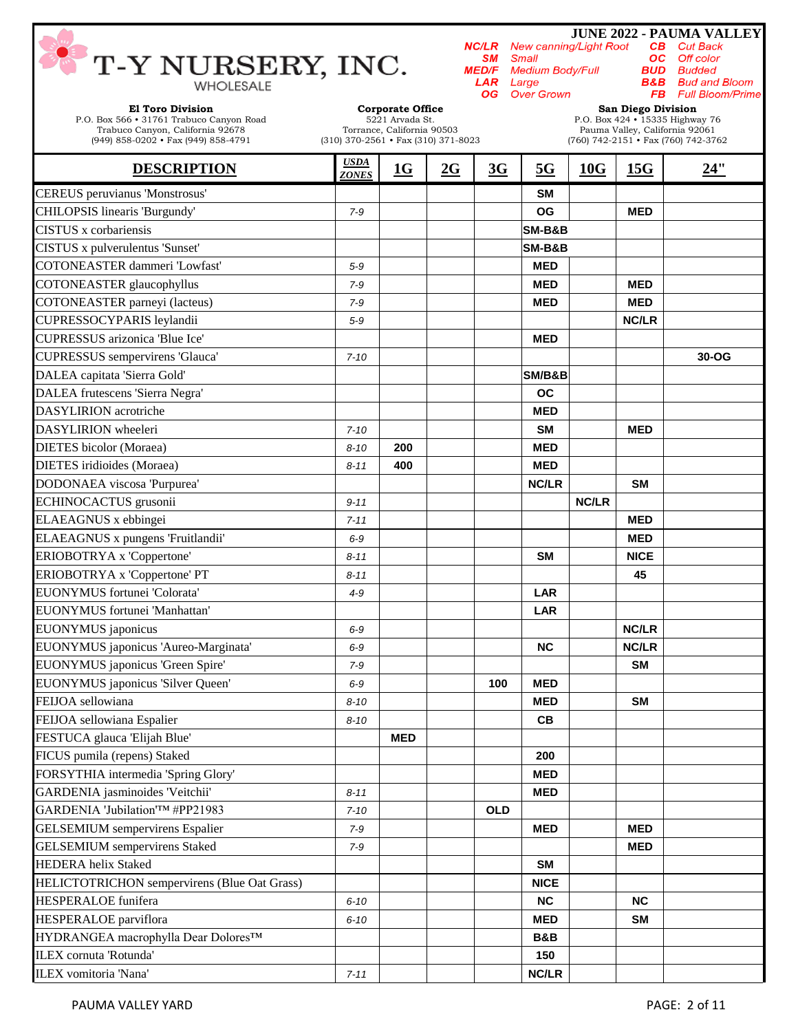T-Y NURSERY, INC. WHOLESALE

**El Toro Division** P.O. Box 566 • 31761 Trabuco Canyon Road

Trabuco Canyon, California 92678 (949) 858-0202 • Fax (949) 858-4791

**Corporate Office** 5221 Arvada St. Torrance, California 90503 (310) 370-2561 • Fax (310) 371-8023

**NC/LR New canning/Light Root SM Small MED/F** Medium Body/Full LAR Large

**OG** Over Grown

**JUNE 2022 - PAUMA VALLEY CB** Cut Back OС Off color **BUD Budded B&B Bud and Bloom Full Bloom/Prime** 

**FB San Diego Division**

| <b>DESCRIPTION</b>                           | <b>USDA</b><br><b>ZONES</b> | 1G         | 2G | 3G         | 5G           | <b>10G</b>   | 15G          | 24"   |
|----------------------------------------------|-----------------------------|------------|----|------------|--------------|--------------|--------------|-------|
| <b>CEREUS</b> peruvianus 'Monstrosus'        |                             |            |    |            | <b>SM</b>    |              |              |       |
| <b>CHILOPSIS</b> linearis 'Burgundy'         | $7-9$                       |            |    |            | <b>OG</b>    |              | <b>MED</b>   |       |
| CISTUS x corbariensis                        |                             |            |    |            | SM-B&B       |              |              |       |
| CISTUS x pulverulentus 'Sunset'              |                             |            |    |            | SM-B&B       |              |              |       |
| <b>COTONEASTER</b> dammeri 'Lowfast'         | $5-9$                       |            |    |            | <b>MED</b>   |              |              |       |
| <b>COTONEASTER</b> glaucophyllus             | $7-9$                       |            |    |            | <b>MED</b>   |              | <b>MED</b>   |       |
| COTONEASTER parneyi (lacteus)                | $7-9$                       |            |    |            | <b>MED</b>   |              | <b>MED</b>   |       |
| CUPRESSOCYPARIS leylandii                    | $5-9$                       |            |    |            |              |              | <b>NC/LR</b> |       |
| <b>CUPRESSUS</b> arizonica 'Blue Ice'        |                             |            |    |            | <b>MED</b>   |              |              |       |
| <b>CUPRESSUS</b> sempervirens 'Glauca'       | $7 - 10$                    |            |    |            |              |              |              | 30-OG |
| DALEA capitata 'Sierra Gold'                 |                             |            |    |            | SM/B&B       |              |              |       |
| DALEA frutescens 'Sierra Negra'              |                             |            |    |            | <b>OC</b>    |              |              |       |
| <b>DASYLIRION</b> acrotriche                 |                             |            |    |            | <b>MED</b>   |              |              |       |
| DASYLIRION wheeleri                          | $7 - 10$                    |            |    |            | <b>SM</b>    |              | <b>MED</b>   |       |
| <b>DIETES</b> bicolor (Moraea)               | $8 - 10$                    | 200        |    |            | <b>MED</b>   |              |              |       |
| <b>DIETES</b> iridioides (Moraea)            | $8 - 11$                    | 400        |    |            | <b>MED</b>   |              |              |       |
| DODONAEA viscosa 'Purpurea'                  |                             |            |    |            | <b>NC/LR</b> |              | <b>SM</b>    |       |
| <b>ECHINOCACTUS</b> grusonii                 | $9 - 11$                    |            |    |            |              | <b>NC/LR</b> |              |       |
| ELAEAGNUS x ebbingei                         | $7 - 11$                    |            |    |            |              |              | <b>MED</b>   |       |
| ELAEAGNUS x pungens 'Fruitlandii'            | $6-9$                       |            |    |            |              |              | <b>MED</b>   |       |
| ERIOBOTRYA x 'Coppertone'                    | $8 - 11$                    |            |    |            | <b>SM</b>    |              | <b>NICE</b>  |       |
| ERIOBOTRYA x 'Coppertone' PT                 | $8 - 11$                    |            |    |            |              |              | 45           |       |
| EUONYMUS fortunei 'Colorata'                 | $4 - 9$                     |            |    |            | <b>LAR</b>   |              |              |       |
| EUONYMUS fortunei 'Manhattan'                |                             |            |    |            | <b>LAR</b>   |              |              |       |
| EUONYMUS japonicus                           | 6-9                         |            |    |            |              |              | <b>NC/LR</b> |       |
| EUONYMUS japonicus 'Aureo-Marginata'         | $6-9$                       |            |    |            | NC           |              | <b>NC/LR</b> |       |
| EUONYMUS japonicus 'Green Spire'             | $7-9$                       |            |    |            |              |              | <b>SM</b>    |       |
| <b>EUONYMUS</b> japonicus 'Silver Queen'     | $6-9$                       |            |    | 100        | <b>MED</b>   |              |              |       |
| FEIJOA sellowiana                            | $8 - 10$                    |            |    |            | <b>MED</b>   |              | <b>SM</b>    |       |
| FEIJOA sellowiana Espalier                   | $8 - 10$                    |            |    |            | CB           |              |              |       |
| FESTUCA glauca 'Elijah Blue'                 |                             | <b>MED</b> |    |            |              |              |              |       |
| FICUS pumila (repens) Staked                 |                             |            |    |            | 200          |              |              |       |
| FORSYTHIA intermedia 'Spring Glory'          |                             |            |    |            | <b>MED</b>   |              |              |       |
| GARDENIA jasminoides 'Veitchii'              | $8 - 11$                    |            |    |            | <b>MED</b>   |              |              |       |
| GARDENIA 'Jubilation'™ #PP21983              | $7 - 10$                    |            |    | <b>OLD</b> |              |              |              |       |
| <b>GELSEMIUM</b> sempervirens Espalier       | $7-9$                       |            |    |            | <b>MED</b>   |              | <b>MED</b>   |       |
| <b>GELSEMIUM</b> sempervirens Staked         | $7-9$                       |            |    |            |              |              | <b>MED</b>   |       |
| <b>HEDERA</b> helix Staked                   |                             |            |    |            | <b>SM</b>    |              |              |       |
| HELICTOTRICHON sempervirens (Blue Oat Grass) |                             |            |    |            | <b>NICE</b>  |              |              |       |
| HESPERALOE funifera                          | $6 - 10$                    |            |    |            | NC           |              | NC           |       |
| HESPERALOE parviflora                        | $6 - 10$                    |            |    |            | <b>MED</b>   |              | <b>SM</b>    |       |
| HYDRANGEA macrophylla Dear Dolores™          |                             |            |    |            | B&B          |              |              |       |
| ILEX cornuta 'Rotunda'                       |                             |            |    |            | 150          |              |              |       |
| ILEX vomitoria 'Nana'                        | $7 - 11$                    |            |    |            | <b>NC/LR</b> |              |              |       |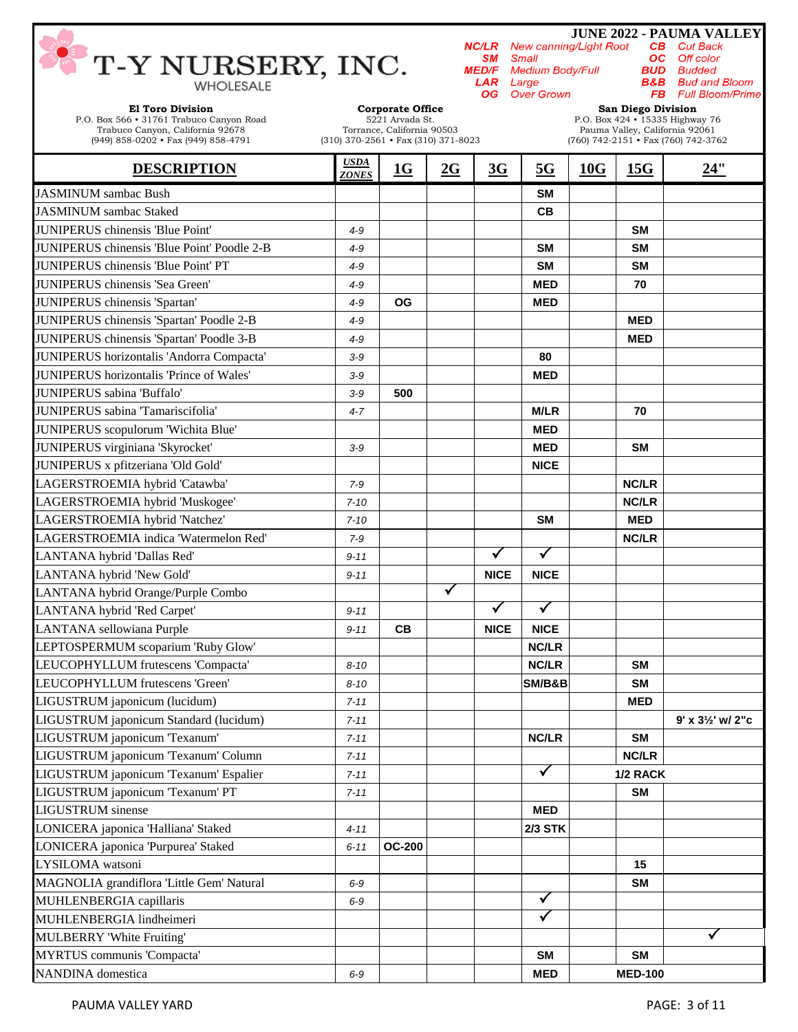

**NC/LR SM Small MED/F** LAR Large

**JUNE 2022 - PAUMA VALLEY**<br>New canning/Light Root **CB** Cut Back Medium Body/Full

**OG** Over Grown

Off color **Budded Bud and Bloom** 

**FB Full Bloom/Prime** 

**El Toro Division**

P.O. Box 566 • 31761 Trabuco Canyon Road Trabuco Canyon, California 92678 (949) 858-0202 • Fax (949) 858-4791

**Corporate Office** 5221 Arvada St. Torrance, California 90503 (310) 370-2561 • Fax (310) 371-8023

**San Diego Division** P.O. Box 424 • 15335 Highway 76 Pauma Valley, California 92061 (760) 742-2151 • Fax (760) 742-3762

OС

**BUD** 

**B&B** 

| <b>DESCRIPTION</b>                          | <b>USDA</b><br><b>ZONES</b> | 1G            | 2G           | 3G           | 5G                   | <b>10G</b> | 15G            | 24"               |
|---------------------------------------------|-----------------------------|---------------|--------------|--------------|----------------------|------------|----------------|-------------------|
| <b>JASMINUM</b> sambac Bush                 |                             |               |              |              | <b>SM</b>            |            |                |                   |
| <b>JASMINUM</b> sambac Staked               |                             |               |              |              | CB                   |            |                |                   |
| <b>JUNIPERUS</b> chinensis 'Blue Point'     | $4 - 9$                     |               |              |              |                      |            | <b>SM</b>      |                   |
| JUNIPERUS chinensis 'Blue Point' Poodle 2-B | $4 - 9$                     |               |              |              | <b>SM</b>            |            | <b>SM</b>      |                   |
| JUNIPERUS chinensis 'Blue Point' PT         | $4 - 9$                     |               |              |              | <b>SM</b>            |            | <b>SM</b>      |                   |
| JUNIPERUS chinensis 'Sea Green'             | $4 - 9$                     |               |              |              | <b>MED</b>           |            | 70             |                   |
| JUNIPERUS chinensis 'Spartan'               | $4 - 9$                     | <b>OG</b>     |              |              | <b>MED</b>           |            |                |                   |
| JUNIPERUS chinensis 'Spartan' Poodle 2-B    | $4 - 9$                     |               |              |              |                      |            | <b>MED</b>     |                   |
| JUNIPERUS chinensis 'Spartan' Poodle 3-B    | $4 - 9$                     |               |              |              |                      |            | <b>MED</b>     |                   |
| JUNIPERUS horizontalis 'Andorra Compacta'   | $3-9$                       |               |              |              | 80                   |            |                |                   |
| JUNIPERUS horizontalis 'Prince of Wales'    | $3-9$                       |               |              |              | <b>MED</b>           |            |                |                   |
| JUNIPERUS sabina 'Buffalo'                  | $3-9$                       | 500           |              |              |                      |            |                |                   |
| JUNIPERUS sabina 'Tamariscifolia'           | $4 - 7$                     |               |              |              | <b>M/LR</b>          |            | 70             |                   |
| JUNIPERUS scopulorum 'Wichita Blue'         |                             |               |              |              | <b>MED</b>           |            |                |                   |
| JUNIPERUS virginiana 'Skyrocket'            | $3-9$                       |               |              |              | <b>MED</b>           |            | <b>SM</b>      |                   |
| JUNIPERUS x pfitzeriana 'Old Gold'          |                             |               |              |              | <b>NICE</b>          |            |                |                   |
| LAGERSTROEMIA hybrid 'Catawba'              | $7-9$                       |               |              |              |                      |            | <b>NC/LR</b>   |                   |
| LAGERSTROEMIA hybrid 'Muskogee'             | $7 - 10$                    |               |              |              |                      |            | <b>NC/LR</b>   |                   |
| LAGERSTROEMIA hybrid 'Natchez'              | $7 - 10$                    |               |              |              | <b>SM</b>            |            | <b>MED</b>     |                   |
| LAGERSTROEMIA indica 'Watermelon Red'       | $7-9$                       |               |              |              |                      |            | <b>NC/LR</b>   |                   |
| LANTANA hybrid 'Dallas Red'                 | $9 - 11$                    |               |              | $\checkmark$ | $\blacktriangledown$ |            |                |                   |
| LANTANA hybrid 'New Gold'                   | $9 - 11$                    |               |              | <b>NICE</b>  | <b>NICE</b>          |            |                |                   |
| LANTANA hybrid Orange/Purple Combo          |                             |               | $\checkmark$ |              |                      |            |                |                   |
| LANTANA hybrid 'Red Carpet'                 | $9 - 11$                    |               |              | $\checkmark$ | $\checkmark$         |            |                |                   |
| LANTANA sellowiana Purple                   | $9 - 11$                    | CB            |              | <b>NICE</b>  | <b>NICE</b>          |            |                |                   |
| LEPTOSPERMUM scoparium 'Ruby Glow'          |                             |               |              |              | <b>NC/LR</b>         |            |                |                   |
| LEUCOPHYLLUM frutescens 'Compacta'          | $8 - 10$                    |               |              |              | NC/LR                |            | <b>SM</b>      |                   |
| LEUCOPHYLLUM frutescens 'Green'             | $8 - 10$                    |               |              |              | SM/B&B               |            | <b>SM</b>      |                   |
| LIGUSTRUM japonicum (lucidum)               | $7 - 11$                    |               |              |              |                      |            | <b>MED</b>     |                   |
| LIGUSTRUM japonicum Standard (lucidum)      | $7 - 11$                    |               |              |              |                      |            |                | 9' x 31/2' w/ 2"c |
| LIGUSTRUM japonicum 'Texanum'               | $7 - 11$                    |               |              |              | <b>NC/LR</b>         |            | <b>SM</b>      |                   |
| LIGUSTRUM japonicum 'Texanum' Column        | $7 - 11$                    |               |              |              |                      |            | NC/LR          |                   |
| LIGUSTRUM japonicum 'Texanum' Espalier      | $7 - 11$                    |               |              |              | $\checkmark$         |            | 1/2 RACK       |                   |
| LIGUSTRUM japonicum 'Texanum' PT            | $7 - 11$                    |               |              |              |                      |            | <b>SM</b>      |                   |
| <b>LIGUSTRUM</b> sinense                    |                             |               |              |              | <b>MED</b>           |            |                |                   |
| LONICERA japonica 'Halliana' Staked         | $4 - 11$                    |               |              |              | <b>2/3 STK</b>       |            |                |                   |
| LONICERA japonica 'Purpurea' Staked         | $6 - 11$                    | <b>OC-200</b> |              |              |                      |            |                |                   |
| LYSILOMA watsoni                            |                             |               |              |              |                      |            | 15             |                   |
| MAGNOLIA grandiflora 'Little Gem' Natural   | $6-9$                       |               |              |              |                      |            | <b>SM</b>      |                   |
| MUHLENBERGIA capillaris                     | $6-9$                       |               |              |              | $\checkmark$         |            |                |                   |
| MUHLENBERGIA lindheimeri                    |                             |               |              |              | $\blacktriangledown$ |            |                |                   |
| <b>MULBERRY 'White Fruiting'</b>            |                             |               |              |              |                      |            |                | ✓                 |
| MYRTUS communis 'Compacta'                  |                             |               |              |              | <b>SM</b>            |            | <b>SM</b>      |                   |
| NANDINA domestica                           | $6-9$                       |               |              |              | <b>MED</b>           |            | <b>MED-100</b> |                   |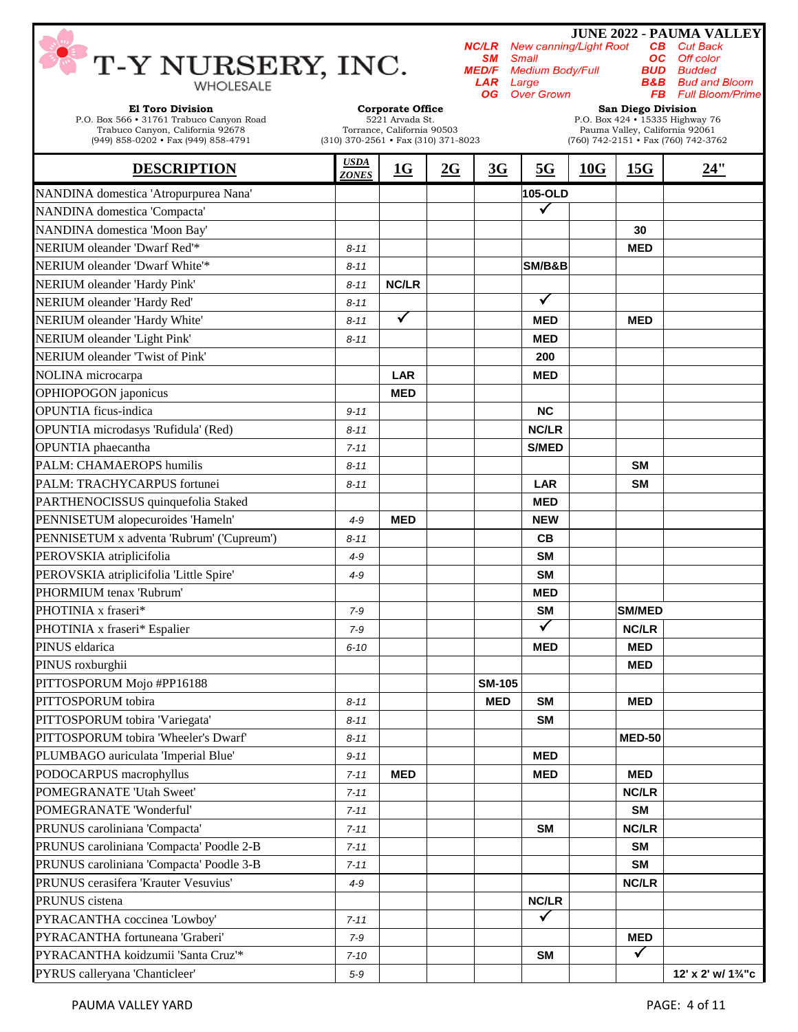T-Y NURSERY, INC.

**El Toro Division** P.O. Box 566 • 31761 Trabuco Canyon Road Trabuco Canyon, California 92678 (949) 858-0202 • Fax (949) 858-4791

**WHOLESALE** 

**LAR** OG **Corporate Office** 5221 Arvada St. Torrance, California 90503 (310) 370-2561 • Fax (310) 371-8023

**JUNE 2022 - PAUMA VALLEY**<br>New canning/Light Root **CB** Cut Back **NC/LR SM Small MED/F** Medium Body/Full Large **Over Grown** 

**CB** Cut Back **OC** Off color **BUD Budded B&B Bud and Bloom** 

**FB Full Bloom/Prime** 

**San Diego Division** P.O. Box 424 • 15335 Highway 76 Pauma Valley, California 92061

(760) 742-2151 • Fax (760) 742-3762

**DESCRIPTION** *<u>USDA</u> zones***</mark>**  $\frac{25DA}{ZONES}$  **1G**  $\left| \frac{2G}{2G} \right|$  **3G**  $\left| \frac{5G}{2G} \right|$  **10G**  $\left| \frac{15G}{24} \right|$  **24** NANDINA domestica 'Atropurpurea Nana' **105-OLD**  $NANDINA$  domestica 'Compacta'  $\checkmark$ NANDINA domestica 'Moon Bay' **30** NERIUM oleander 'Dwarf Red'\* *8-11* **MED** NERIUM oleander 'Dwarf White'\* **8-11** 8-11 **SM/B&B** NERIUM oleander 'Hardy Pink' *8-11* **NC/LR** NERIUM oleander 'Hardy Red' *8-11* P → *8-11* P → **P** → **P** → **P** → **P** → **P** → **P** → **P** → **P** → **P** → **P** → **P** → **P** → **P** → **P** → **P** → **P** → **P** → **P** → **P** → **P** → **P** → **P** → **P** → **P** → **P** → **P** + **P** + **P** + **P** NERIUM oleander 'Hardy White' **8-11** P  $\bigcup_{i=1}^{\infty}$  P  $\bigcup_{i=1}^{\infty}$  **MED**  $\bigcup_{i=1}^{\infty}$  **MED** NERIUM oleander 'Light Pink' *8-11* **MED** NERIUM oleander 'Twist of Pink' **200** NOLINA microcarpa **LAR LAR LAR MED** OPHIOPOGON japonicus **MED** OPUNTIA ficus-indica *9-11* **NC** OPUNTIA microdasys 'Rufidula' (Red) *8-11* **NC/LR** OPUNTIA phaecantha *7-11* **S/MED** PALM: CHAMAEROPS humilis **8-11 SM** PALM: TRACHYCARPUS fortunei **8-11 Reserve Example 2 CAR SM** PARTHENOCISSUS quinquefolia Staked **MED** PENNISETUM alopecuroides 'Hameln' **1.49 | MED** | **NEW** PENNISETUM x adventa 'Rubrum' ('Cupreum') *8-11* **CB** PEROVSKIA atriplicifolia *4-9* **SM** PEROVSKIA atriplicifolia 'Little Spire' **1** 4-9 **SM** PHORMIUM tenax 'Rubrum' **MED** PHOTINIA x fraseri\* *7-9* **SM SM/MED** PHOTINIA x fraseri<sup>\*</sup> Espalier **7-9** 7-9 **PHOTINIA** x fraseri<sup>\*</sup> Espaiier PINUS eldarica **1988 MED MED MED MED MED** PINUS roxburghii **MED** PITTOSPORUM Mojo #PP16188 **SM-105** PITTOSPORUM tobira *8-11* **MED SM MED** PITTOSPORUM tobira 'Variegata' **8-11** 8-11 **SM** PITTOSPORUM tobira 'Wheeler's Dwarf' *8-11* **MED-50** PLUMBAGO auriculata 'Imperial Blue' *9-11* **MED** PODOCARPUS macrophyllus **MED MED MED MED MED MED MED** POMEGRANATE 'Utah Sweet' *7-11* **NC/LR** POMEGRANATE 'Wonderful' **1988 SM** PRUNUS caroliniana 'Compacta' **7-11** 7-11 **SM SM SM NC/LR** PRUNUS caroliniana 'Compacta' Poodle 2-B **7-11 7-11 7-11 7-11 1 1 1 1 SM** PRUNUS caroliniana 'Compacta' Poodle 3-B **7-11 7-11 7-11 7-11 1 1 1 1 SM** PRUNUS cerasifera 'Krauter Vesuvius' **14-9 Access Access Access NC/LR** PRUNUS cistena **NC/LR**  $PYRACANTHA$  coccinea 'Lowboy' 7-11<sup></sup>  $7-11$ PYRACANTHA fortuneana 'Graberi' *7-9* **MED** PYRACANTHA koidzumii 'Santa Cruz'\* *7-10* **SM** P PYRUS calleryana 'Chanticleer' *5-9* **12' x 2' w/ 1¾"c**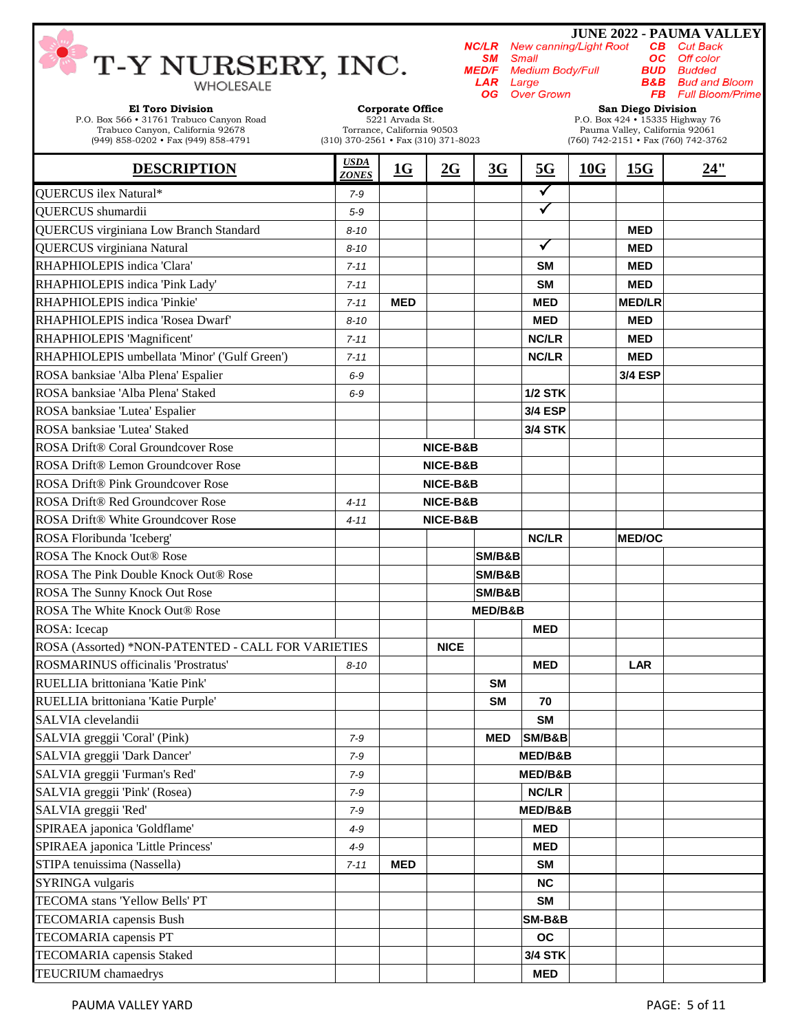T-Y NURSERY, INC. WHOLESALE

**JUNE 2022 - PAUMA VALLEY**<br>**NC/LR** New canning/Light Root **CB** Cut Back **SM Small MED/F** LAR Large

Medium Body/Full

**OG** Over Grown

OC Off color **BUD** Budded B&B **Bud and Bloom** 

**FB** Full Bloom/Prime

**El Toro Division** P.O. Box 566 • 31761 Trabuco Canyon Road

Trabuco Canyon, California 92678 (949) 858-0202 • Fax (949) 858-4791

**Corporate Office** 5221 Arvada St. Torrance, California 90503 (310) 370-2561 • Fax (310) 371-8023

| <b>DESCRIPTION</b>                                 | <b>USDA</b><br><b>ZONES</b> | 1G         | 2G          | 3G                | 5G                   | <b>10G</b> | 15G            | 24" |
|----------------------------------------------------|-----------------------------|------------|-------------|-------------------|----------------------|------------|----------------|-----|
| <b>OUERCUS</b> ilex Natural*                       | $7-9$                       |            |             |                   | $\blacktriangledown$ |            |                |     |
| QUERCUS shumardii                                  | 5-9                         |            |             |                   | $\checkmark$         |            |                |     |
| <b>QUERCUS</b> virginiana Low Branch Standard      | $8 - 10$                    |            |             |                   |                      |            | <b>MED</b>     |     |
| QUERCUS virginiana Natural                         | $8 - 10$                    |            |             |                   | $\checkmark$         |            | <b>MED</b>     |     |
| RHAPHIOLEPIS indica 'Clara'                        | $7 - 11$                    |            |             |                   | <b>SM</b>            |            | MED            |     |
| RHAPHIOLEPIS indica 'Pink Lady'                    | $7 - 11$                    |            |             |                   | <b>SM</b>            |            | <b>MED</b>     |     |
| RHAPHIOLEPIS indica 'Pinkie'                       | $7 - 11$                    | <b>MED</b> |             |                   | <b>MED</b>           |            | <b>MED/LR</b>  |     |
| RHAPHIOLEPIS indica 'Rosea Dwarf'                  | $8 - 10$                    |            |             |                   | <b>MED</b>           |            | <b>MED</b>     |     |
| RHAPHIOLEPIS 'Magnificent'                         | $7 - 11$                    |            |             |                   | <b>NC/LR</b>         |            | <b>MED</b>     |     |
| RHAPHIOLEPIS umbellata 'Minor' ('Gulf Green')      | $7 - 11$                    |            |             |                   | <b>NC/LR</b>         |            | <b>MED</b>     |     |
| ROSA banksiae 'Alba Plena' Espalier                | $6-9$                       |            |             |                   |                      |            | <b>3/4 ESP</b> |     |
| ROSA banksiae 'Alba Plena' Staked                  | $6-9$                       |            |             |                   | <b>1/2 STK</b>       |            |                |     |
| ROSA banksiae 'Lutea' Espalier                     |                             |            |             |                   | <b>3/4 ESP</b>       |            |                |     |
| ROSA banksiae 'Lutea' Staked                       |                             |            |             |                   | <b>3/4 STK</b>       |            |                |     |
| ROSA Drift® Coral Groundcover Rose                 |                             |            | NICE-B&B    |                   |                      |            |                |     |
| ROSA Drift® Lemon Groundcover Rose                 |                             |            | NICE-B&B    |                   |                      |            |                |     |
| ROSA Drift® Pink Groundcover Rose                  |                             |            | NICE-B&B    |                   |                      |            |                |     |
| ROSA Drift® Red Groundcover Rose                   | $4 - 11$                    |            | NICE-B&B    |                   |                      |            |                |     |
| ROSA Drift® White Groundcover Rose                 | $4 - 11$                    |            | NICE-B&B    |                   |                      |            |                |     |
| ROSA Floribunda 'Iceberg'                          |                             |            |             |                   | <b>NC/LR</b>         |            | <b>MED/OC</b>  |     |
| <b>ROSA The Knock Out® Rose</b>                    |                             |            |             | <b>SM/B&amp;B</b> |                      |            |                |     |
| ROSA The Pink Double Knock Out® Rose               |                             |            |             | SM/B&B            |                      |            |                |     |
| ROSA The Sunny Knock Out Rose                      |                             |            |             | SM/B&B            |                      |            |                |     |
| ROSA The White Knock Out® Rose                     |                             |            |             | MED/B&B           |                      |            |                |     |
| ROSA: Icecap                                       |                             |            |             |                   | <b>MED</b>           |            |                |     |
| ROSA (Assorted) *NON-PATENTED - CALL FOR VARIETIES |                             |            | <b>NICE</b> |                   |                      |            |                |     |
| <b>ROSMARINUS</b> officinalis 'Prostratus'         | $8 - 10$                    |            |             |                   | <b>MED</b>           |            | <b>LAR</b>     |     |
| RUELLIA brittoniana 'Katie Pink'                   |                             |            |             | <b>SM</b>         |                      |            |                |     |
| RUELLIA brittoniana 'Katie Purple'                 |                             |            |             | <b>SM</b>         | 70                   |            |                |     |
| SALVIA clevelandii                                 |                             |            |             |                   | <b>SM</b>            |            |                |     |
| SALVIA greggii 'Coral' (Pink)                      | $7-9$                       |            |             | <b>MED</b>        | SM/B&B               |            |                |     |
| SALVIA greggii 'Dark Dancer'                       | 7-9                         |            |             |                   | MED/B&B              |            |                |     |
| SALVIA greggii 'Furman's Red'                      | $7-9$                       |            |             |                   | MED/B&B              |            |                |     |
| SALVIA greggii 'Pink' (Rosea)                      | $7 - 9$                     |            |             |                   | <b>NC/LR</b>         |            |                |     |
| SALVIA greggii 'Red'                               | $7-9$                       |            |             |                   | MED/B&B              |            |                |     |
| SPIRAEA japonica 'Goldflame'                       | 4-9                         |            |             |                   | <b>MED</b>           |            |                |     |
| SPIRAEA japonica 'Little Princess'                 | $4-9$                       |            |             |                   | <b>MED</b>           |            |                |     |
| STIPA tenuissima (Nassella)                        | $7 - 11$                    | <b>MED</b> |             |                   | <b>SM</b>            |            |                |     |
| <b>SYRINGA</b> vulgaris                            |                             |            |             |                   | <b>NC</b>            |            |                |     |
| TECOMA stans 'Yellow Bells' PT                     |                             |            |             |                   | <b>SM</b>            |            |                |     |
| TECOMARIA capensis Bush                            |                             |            |             |                   | SM-B&B               |            |                |     |
| TECOMARIA capensis PT                              |                             |            |             |                   | OC                   |            |                |     |
| TECOMARIA capensis Staked                          |                             |            |             |                   | 3/4 STK              |            |                |     |
| <b>TEUCRIUM</b> chamaedrys                         |                             |            |             |                   | <b>MED</b>           |            |                |     |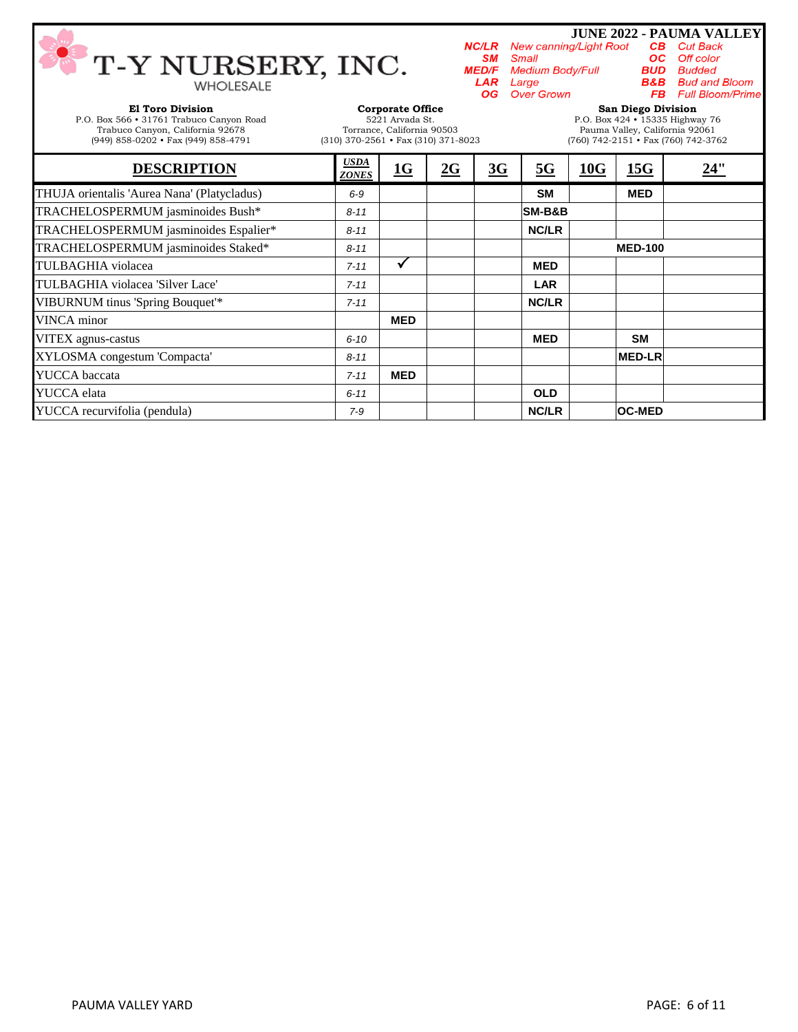| T-Y NURSERY, INC.<br>WHOLESALE |  |
|--------------------------------|--|
|--------------------------------|--|

**JUNE 2022 - PAUMA VALLEY**<br>**NC/LR** New canning/Light Root **CB** Cut Back **SM** Small **MED/F** Medium Body/Full **LAR** Large **OG** Over Grown

OC Off color **BUD** Budded **B&B** Bud and Bloom FB Full Bloom/Prime

**El Toro Division** P.O. Box 566 • 31761 Trabuco Canyon Road Trabuco Canyon, California 92678 (949) 858-0202 • Fax (949) 858-4791

**Corporate Office** 5221 Arvada St. Torrance, California 90503 (310) 370-2561 • Fax (310) 371-8023

| <b>DESCRIPTION</b>                          | <b>USDA</b><br><b>ZONES</b> | <u>1G</u>  | 2G | 3 <sub>G</sub> | 56                | <b>10G</b> | <u>15G</u>     | 24" |
|---------------------------------------------|-----------------------------|------------|----|----------------|-------------------|------------|----------------|-----|
| THUJA orientalis 'Aurea Nana' (Platycladus) | $6-9$                       |            |    |                | <b>SM</b>         |            | <b>MED</b>     |     |
| TRACHELOSPERMUM jasminoides Bush*           | $8 - 11$                    |            |    |                | <b>SM-B&amp;B</b> |            |                |     |
| TRACHELOSPERMUM jasminoides Espalier*       | $8 - 11$                    |            |    |                | <b>NC/LR</b>      |            |                |     |
| TRACHELOSPERMUM jasminoides Staked*         | $8 - 11$                    |            |    |                |                   |            | <b>MED-100</b> |     |
| <b>TULBAGHIA</b> violacea                   | $7 - 11$                    | v          |    |                | <b>MED</b>        |            |                |     |
| TULBAGHIA violacea 'Silver Lace'            | $7 - 11$                    |            |    |                | <b>LAR</b>        |            |                |     |
| VIBURNUM tinus 'Spring Bouquet'*            | $7 - 11$                    |            |    |                | <b>NC/LR</b>      |            |                |     |
| <b>VINCA</b> minor                          |                             | <b>MED</b> |    |                |                   |            |                |     |
| VITEX agnus-castus                          | $6 - 10$                    |            |    |                | <b>MED</b>        |            | <b>SM</b>      |     |
| XYLOSMA congestum 'Compacta'                | $8 - 11$                    |            |    |                |                   |            | <b>MED-LR</b>  |     |
| <b>YUCCA</b> baccata                        | $7 - 11$                    | <b>MED</b> |    |                |                   |            |                |     |
| YUCCA elata                                 | $6 - 11$                    |            |    |                | <b>OLD</b>        |            |                |     |
| YUCCA recurvifolia (pendula)                | $7-9$                       |            |    |                | <b>NC/LR</b>      |            | <b>OC-MED</b>  |     |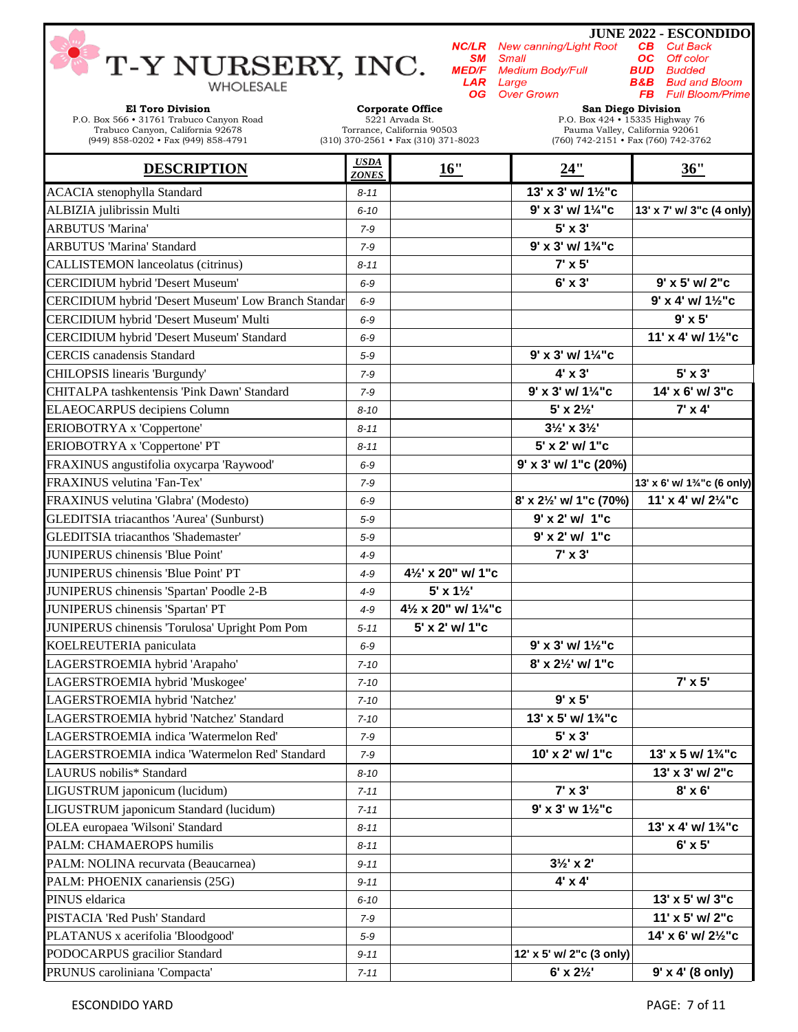## **JUNE 2022 - ESCONDIDO**<br>New canning/Light Root **CB** Cut Back



**El Toro Division** P.O. Box 566 • 31761 Trabuco Canyon Road Trabuco Canyon, California 92678 (949) 858-0202 • Fax (949) 858-4791

**MED/F** LAR **Corporate Office** 5221 Arvada St.

Torrance, California 90503 (310) 370-2561 • Fax (310) 371-8023

**NC/LR SM Small** Medium Body/Full Large **OG** Over Grown

OС Off color **Budded BUD B&B Bud and Bloom** 

**FB Full Bloom/Prime** 

**San Diego Division** P.O. Box 424 • 15335 Highway 76 Pauma Valley, California 92061

(760) 742-2151 • Fax (760) 742-3762

| <b>DESCRIPTION</b>                                  | <b>USDA</b><br><b>ZONES</b> | 16"                   | 24"                                         | 36"                                                   |
|-----------------------------------------------------|-----------------------------|-----------------------|---------------------------------------------|-------------------------------------------------------|
| <b>ACACIA</b> stenophylla Standard                  | $8 - 11$                    |                       | 13' x 3' w/ 11/2"c                          |                                                       |
| ALBIZIA julibrissin Multi                           | $6 - 10$                    |                       | 9' x 3' w/ 11/4"c                           | 13' x 7' w/ 3"c (4 only)                              |
| <b>ARBUTUS 'Marina'</b>                             | $7-9$                       |                       | $5' \times 3'$                              |                                                       |
| <b>ARBUTUS 'Marina' Standard</b>                    | $7-9$                       |                       | 9' x 3' w/ 1 <sup>3</sup> / <sub>4</sub> "c |                                                       |
| <b>CALLISTEMON</b> lanceolatus (citrinus)           | $8 - 11$                    |                       | $7' \times 5'$                              |                                                       |
| <b>CERCIDIUM</b> hybrid 'Desert Museum'             | $6-9$                       |                       | 6' x 3'                                     | 9' x 5' w/ 2"c                                        |
| CERCIDIUM hybrid 'Desert Museum' Low Branch Standar | $6-9$                       |                       |                                             | 9' x 4' w/ 11/2"c                                     |
| CERCIDIUM hybrid 'Desert Museum' Multi              | $6-9$                       |                       |                                             | $9' \times 5'$                                        |
| <b>CERCIDIUM</b> hybrid 'Desert Museum' Standard    | $6-9$                       |                       |                                             | 11' x 4' w/ 11/2"c                                    |
| <b>CERCIS</b> canadensis Standard                   | $5-9$                       |                       | 9' x 3' w/ 11/4"c                           |                                                       |
| CHILOPSIS linearis 'Burgundy'                       | $7-9$                       |                       | $4' \times 3'$                              | $5' \times 3'$                                        |
| CHITALPA tashkentensis 'Pink Dawn' Standard         | $7-9$                       |                       | 9' x 3' w/ 11/4"c                           | 14' x 6' w/ 3"c                                       |
| ELAEOCARPUS decipiens Column                        | $8 - 10$                    |                       | $5'$ x $2\frac{1}{2}$                       | $7' \times 4'$                                        |
| ERIOBOTRYA x 'Coppertone'                           | $8 - 11$                    |                       | $3\frac{1}{2}$ ' x $3\frac{1}{2}$ '         |                                                       |
| ERIOBOTRYA x 'Coppertone' PT                        | $8 - 11$                    |                       | 5' x 2' w/ 1"c                              |                                                       |
| FRAXINUS angustifolia oxycarpa 'Raywood'            | $6-9$                       |                       | 9' x 3' w/ 1"c (20%)                        |                                                       |
| FRAXINUS velutina 'Fan-Tex'                         | $7-9$                       |                       |                                             | 13' x 6' w/ 1 <sup>3</sup> / <sub>4</sub> "c (6 only) |
| FRAXINUS velutina 'Glabra' (Modesto)                | $6-9$                       |                       | 8' x 21/2' w/ 1"c (70%)                     | 11' x 4' w/ 21/4"c                                    |
| <b>GLEDITSIA</b> triacanthos 'Aurea' (Sunburst)     | $5-9$                       |                       | 9' x 2' w/ 1"c                              |                                                       |
| <b>GLEDITSIA</b> triacanthos 'Shademaster'          | $5-9$                       |                       | 9' x 2' w/ 1"c                              |                                                       |
| JUNIPERUS chinensis 'Blue Point'                    | $4-9$                       |                       | $7' \times 3'$                              |                                                       |
| <b>JUNIPERUS</b> chinensis 'Blue Point' PT          | 4-9                         | 41/2' x 20" w/ 1"c    |                                             |                                                       |
| JUNIPERUS chinensis 'Spartan' Poodle 2-B            | $4-9$                       | $5'$ x $1\frac{1}{2}$ |                                             |                                                       |
| JUNIPERUS chinensis 'Spartan' PT                    | $4 - 9$                     | 41/2 x 20" w/ 11/4"c  |                                             |                                                       |
| JUNIPERUS chinensis 'Torulosa' Upright Pom Pom      | $5 - 11$                    | 5' x 2' w/ 1"c        |                                             |                                                       |
| KOELREUTERIA paniculata                             | $6-9$                       |                       | $9'$ x 3' w/ $1\frac{1}{2}$ "c              |                                                       |
| LAGERSTROEMIA hybrid 'Arapaho'                      | $7 - 10$                    |                       | 8' x 21/2' w/ 1"c                           |                                                       |
| LAGERSTROEMIA hybrid 'Muskogee'                     | $7 - 10$                    |                       |                                             | $7' \times 5'$                                        |
| LAGERSTROEMIA hybrid 'Natchez'                      | $7 - 10$                    |                       | $9' \times 5'$                              |                                                       |
| LAGERSTROEMIA hybrid 'Natchez' Standard             | $7 - 10$                    |                       | 13' x 5' w/ 13/4"c                          |                                                       |
| LAGERSTROEMIA indica 'Watermelon Red'               | $7-9$                       |                       | $5' \times 3'$                              |                                                       |
| LAGERSTROEMIA indica 'Watermelon Red' Standard      | $7-9$                       |                       | 10' x 2' w/ 1"c                             | 13' x 5 w/ 1 <sup>3</sup> / <sub>4</sub> "c           |
| LAURUS nobilis* Standard                            | $8 - 10$                    |                       |                                             | 13' x 3' w/ 2"c                                       |
| LIGUSTRUM japonicum (lucidum)                       | $7 - 11$                    |                       | $7' \times 3'$                              | $8' \times 6'$                                        |
| LIGUSTRUM japonicum Standard (lucidum)              | $7 - 11$                    |                       | 9' x 3' w 11/2"c                            |                                                       |
| OLEA europaea 'Wilsoni' Standard                    | $8 - 11$                    |                       |                                             | 13' x 4' w/ 1 <sup>3</sup> / <sub>4</sub> "c          |
| PALM: CHAMAEROPS humilis                            | $8 - 11$                    |                       |                                             | $6' \times 5'$                                        |
| PALM: NOLINA recurvata (Beaucarnea)                 | $9 - 11$                    |                       | $3\frac{1}{2}$ x 2'                         |                                                       |
| PALM: PHOENIX canariensis (25G)                     | $9 - 11$                    |                       | $4' \times 4'$                              |                                                       |
| PINUS eldarica                                      | $6 - 10$                    |                       |                                             | 13' x 5' w/ 3"c                                       |
| PISTACIA 'Red Push' Standard                        | 7-9                         |                       |                                             | 11' x 5' w/ 2"c                                       |
| PLATANUS x acerifolia 'Bloodgood'                   | $5-9$                       |                       |                                             | 14' x 6' w/ 21/2"c                                    |
| PODOCARPUS gracilior Standard                       | $9 - 11$                    |                       | 12' x 5' w/ 2"c (3 only)                    |                                                       |
| PRUNUS caroliniana 'Compacta'                       | $7 - 11$                    |                       | $6'$ x $2\frac{1}{2}'$                      | 9' x 4' (8 only)                                      |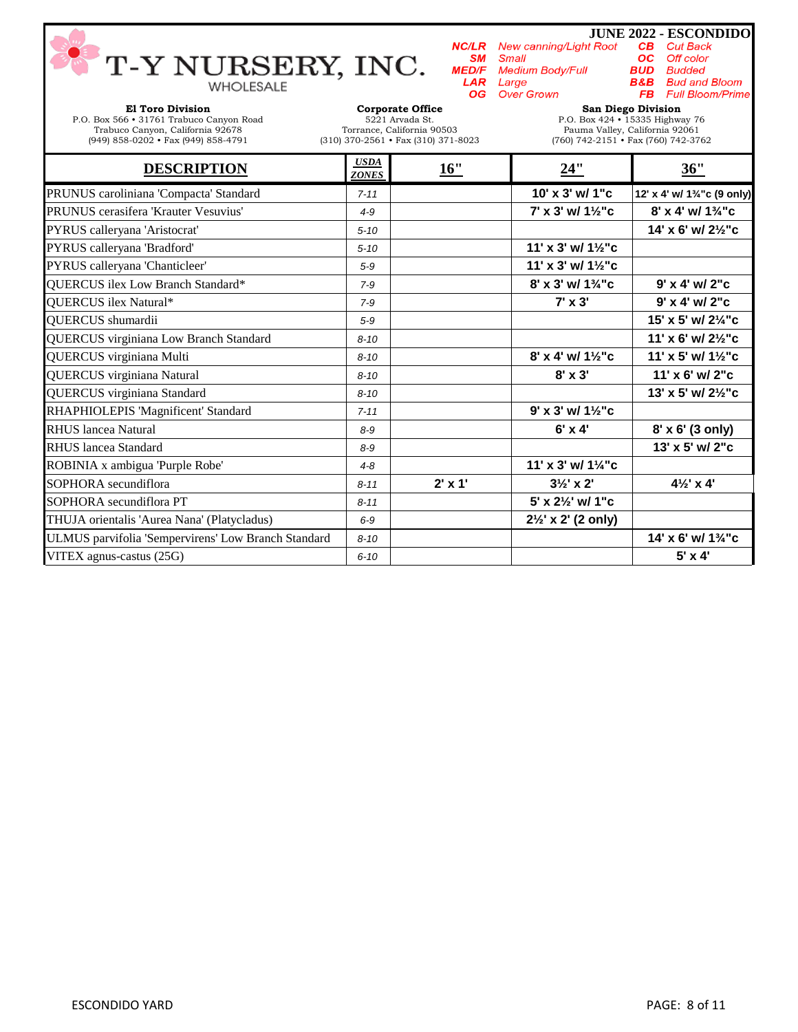

**NC/LR SM Small MED/F** LAR Large **OG** Over Grown

Medium Body/Full

OС Off color **BUD Budded B&B Bud and Bloom Full Bloom/Prime** 

**FB San Diego Division**

**El Toro Division** P.O. Box 566 • 31761 Trabuco Canyon Road Trabuco Canyon, California 92678 (949) 858-0202 • Fax (949) 858-4791

**Corporate Office** 5221 Arvada St. Torrance, California 90503 (310) 370-2561 • Fax (310) 371-8023

| <b>DESCRIPTION</b>                                  | <b>USDA</b><br><b>ZONES</b> | 16"            | 24"                                         | 36"                                                   |
|-----------------------------------------------------|-----------------------------|----------------|---------------------------------------------|-------------------------------------------------------|
| PRUNUS caroliniana 'Compacta' Standard              | $7 - 11$                    |                | 10' x 3' w/ 1"c                             | 12' x 4' w/ 1 <sup>3</sup> / <sub>4</sub> "c (9 only) |
| PRUNUS cerasifera 'Krauter Vesuvius'                | $4 - 9$                     |                | 7' x 3' w/ 11/2"c                           | 8' x 4' w/ 1 <sup>3</sup> / <sub>4</sub> "c           |
| PYRUS calleryana 'Aristocrat'                       | $5 - 10$                    |                |                                             | 14' x 6' w/ 21/2"c                                    |
| PYRUS calleryana 'Bradford'                         | $5 - 10$                    |                | 11' x 3' w/ 11/2"c                          |                                                       |
| PYRUS calleryana 'Chanticleer'                      | $5-9$                       |                | 11' x 3' w/ 11/2"c                          |                                                       |
| QUERCUS ilex Low Branch Standard*                   | $7-9$                       |                | 8' x 3' w/ 1 <sup>3</sup> / <sub>4</sub> "c | 9' x 4' w/ 2"c                                        |
| QUERCUS ilex Natural*                               | $7-9$                       |                | $7' \times 3'$                              | 9' x 4' w/ 2"c                                        |
| QUERCUS shumardii                                   | $5-9$                       |                |                                             | 15' x 5' w/ 21/4"c                                    |
| <b>QUERCUS</b> virginiana Low Branch Standard       | $8 - 10$                    |                |                                             | 11' x 6' w/ 21/2"c                                    |
| QUERCUS virginiana Multi                            | $8 - 10$                    |                | $8'$ x 4' w/ $1\frac{1}{2}$ "c              | 11' x 5' w/ 11/2"c                                    |
| QUERCUS virginiana Natural                          | $8 - 10$                    |                | $8' \times 3'$                              | 11' x 6' w/ 2"c                                       |
| QUERCUS virginiana Standard                         | $8 - 10$                    |                |                                             | 13' x 5' w/ 21/2"c                                    |
| RHAPHIOLEPIS 'Magnificent' Standard                 | $7 - 11$                    |                | 9' x 3' w/ 11/2"c                           |                                                       |
| <b>RHUS</b> lancea Natural                          | $8-9$                       |                | $6' \times 4'$                              | 8' x 6' (3 only)                                      |
| <b>RHUS</b> lancea Standard                         | $8-9$                       |                |                                             | 13' x 5' w/ 2"c                                       |
| ROBINIA x ambigua 'Purple Robe'                     | $4 - 8$                     |                | 11' x 3' w/ 11/4"c                          |                                                       |
| SOPHORA secundiflora                                | $8 - 11$                    | $2' \times 1'$ | $3\frac{1}{2}$ x 2'                         | $4\frac{1}{2}$ x 4'                                   |
| SOPHORA secundiflora PT                             | $8 - 11$                    |                | 5' x $2\frac{1}{2}$ ' w/ 1"c                |                                                       |
| THUJA orientalis 'Aurea Nana' (Platycladus)         | $6-9$                       |                | $2\frac{1}{2}$ ' x 2' (2 only)              |                                                       |
| ULMUS parvifolia 'Sempervirens' Low Branch Standard | $8 - 10$                    |                |                                             | 14' x 6' w/ 1 <sup>3</sup> / <sub>4</sub> "c          |
| VITEX agnus-castus (25G)                            | $6 - 10$                    |                |                                             | $5' \times 4'$                                        |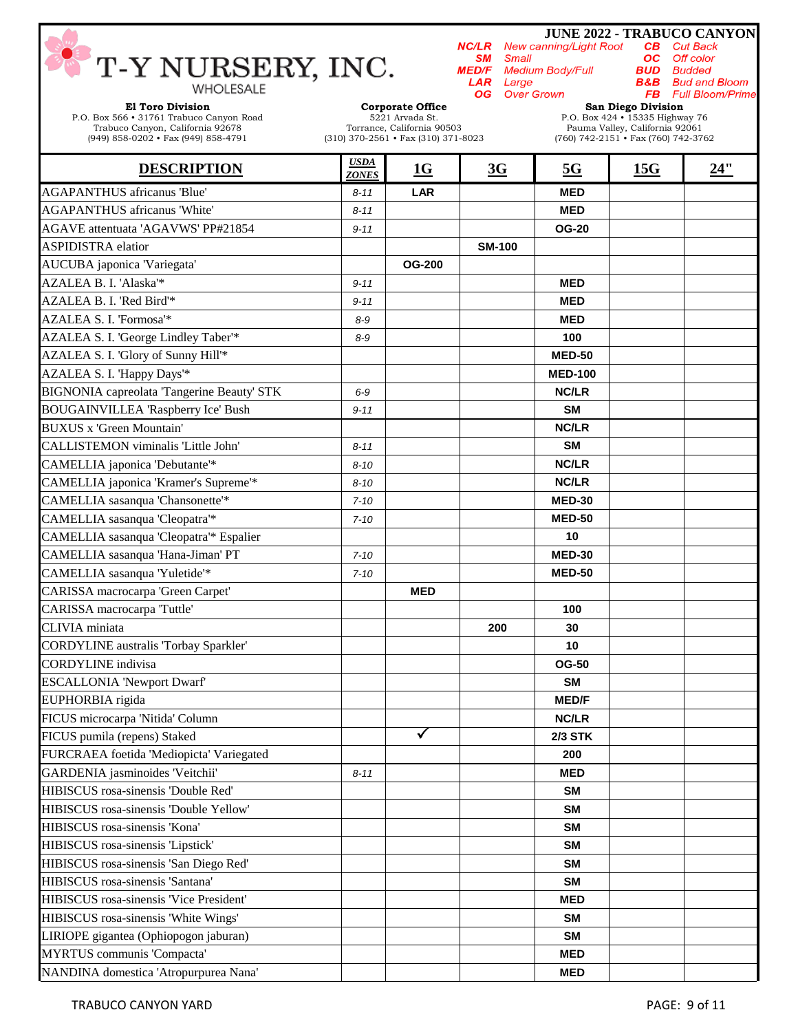| T-Y NURSERY, INC. |  |
|-------------------|--|
| WHOLESALE         |  |

**SM** Small **LAR** Large **OG** Over Grown

**JUNE 2022 - TRABUCO CANYON**<br>**NC/LR** New canning/Light Root **CB** Cut Back **MED/F** Medium Body/Full

**CB** Cut Back OC Off color **BUD** Budded **B&B** Bud and Bloom

FB Full Bloom/Prime

**El Toro Division**

P.O. Box 566 • 31761 Trabuco Canyon Road Trabuco Canyon, California 92678 (949) 858-0202 • Fax (949) 858-4791

## **Corporate Office** 5221 Arvada St. Torrance, California 90503 (310) 370-2561 • Fax (310) 371-8023

| <b>DESCRIPTION</b>                           | <b>USDA</b><br><b>ZONES</b> | 1G            | 3G            | 5G             | 15G | 24" |
|----------------------------------------------|-----------------------------|---------------|---------------|----------------|-----|-----|
| <b>AGAPANTHUS</b> africanus 'Blue'           | $8 - 11$                    | <b>LAR</b>    |               | <b>MED</b>     |     |     |
| <b>AGAPANTHUS</b> africanus 'White'          | $8 - 11$                    |               |               | <b>MED</b>     |     |     |
| AGAVE attentuata 'AGAVWS' PP#21854           | $9 - 11$                    |               |               | <b>OG-20</b>   |     |     |
| <b>ASPIDISTRA</b> elatior                    |                             |               | <b>SM-100</b> |                |     |     |
| AUCUBA japonica 'Variegata'                  |                             | <b>OG-200</b> |               |                |     |     |
| AZALEA B. I. 'Alaska'*                       | $9 - 11$                    |               |               | <b>MED</b>     |     |     |
| AZALEA B. I. 'Red Bird'*                     | $9 - 11$                    |               |               | <b>MED</b>     |     |     |
| AZALEA S. I. 'Formosa'*                      | $8-9$                       |               |               | <b>MED</b>     |     |     |
| AZALEA S. I. 'George Lindley Taber'*         | $8 - 9$                     |               |               | 100            |     |     |
| AZALEA S. I. 'Glory of Sunny Hill'*          |                             |               |               | <b>MED-50</b>  |     |     |
| AZALEA S. I. 'Happy Days'*                   |                             |               |               | <b>MED-100</b> |     |     |
| BIGNONIA capreolata 'Tangerine Beauty' STK   | $6-9$                       |               |               | <b>NC/LR</b>   |     |     |
| <b>BOUGAINVILLEA 'Raspberry Ice' Bush</b>    | $9 - 11$                    |               |               | <b>SM</b>      |     |     |
| <b>BUXUS x 'Green Mountain'</b>              |                             |               |               | <b>NC/LR</b>   |     |     |
| CALLISTEMON viminalis 'Little John'          | $8 - 11$                    |               |               | <b>SM</b>      |     |     |
| CAMELLIA japonica 'Debutante'*               | $8 - 10$                    |               |               | <b>NC/LR</b>   |     |     |
| CAMELLIA japonica 'Kramer's Supreme'*        | $8 - 10$                    |               |               | <b>NC/LR</b>   |     |     |
| CAMELLIA sasanqua 'Chansonette'*             | $7 - 10$                    |               |               | <b>MED-30</b>  |     |     |
| CAMELLIA sasanqua 'Cleopatra'*               | $7 - 10$                    |               |               | <b>MED-50</b>  |     |     |
| CAMELLIA sasanqua 'Cleopatra'* Espalier      |                             |               |               | 10             |     |     |
| CAMELLIA sasanqua 'Hana-Jiman' PT            | $7 - 10$                    |               |               | <b>MED-30</b>  |     |     |
| CAMELLIA sasanqua 'Yuletide'*                | $7 - 10$                    |               |               | <b>MED-50</b>  |     |     |
| CARISSA macrocarpa 'Green Carpet'            |                             | <b>MED</b>    |               |                |     |     |
| CARISSA macrocarpa 'Tuttle'                  |                             |               |               | 100            |     |     |
| CLIVIA miniata                               |                             |               | 200           | 30             |     |     |
| <b>CORDYLINE</b> australis 'Torbay Sparkler' |                             |               |               | 10             |     |     |
| <b>CORDYLINE</b> indivisa                    |                             |               |               | <b>OG-50</b>   |     |     |
| <b>ESCALLONIA 'Newport Dwarf'</b>            |                             |               |               | <b>SM</b>      |     |     |
| EUPHORBIA rigida                             |                             |               |               | <b>MED/F</b>   |     |     |
| FICUS microcarpa 'Nitida' Column             |                             |               |               | <b>NC/LR</b>   |     |     |
| FICUS pumila (repens) Staked                 |                             | ✓             |               | <b>2/3 STK</b> |     |     |
| FURCRAEA foetida 'Mediopicta' Variegated     |                             |               |               | 200            |     |     |
| GARDENIA jasminoides 'Veitchii'              | $8 - 11$                    |               |               | <b>MED</b>     |     |     |
| HIBISCUS rosa-sinensis 'Double Red'          |                             |               |               | <b>SM</b>      |     |     |
| HIBISCUS rosa-sinensis 'Double Yellow'       |                             |               |               | <b>SM</b>      |     |     |
| HIBISCUS rosa-sinensis 'Kona'                |                             |               |               | <b>SM</b>      |     |     |
| HIBISCUS rosa-sinensis 'Lipstick'            |                             |               |               | <b>SM</b>      |     |     |
| HIBISCUS rosa-sinensis 'San Diego Red'       |                             |               |               | <b>SM</b>      |     |     |
| HIBISCUS rosa-sinensis 'Santana'             |                             |               |               | <b>SM</b>      |     |     |
| HIBISCUS rosa-sinensis 'Vice President'      |                             |               |               | <b>MED</b>     |     |     |
| HIBISCUS rosa-sinensis 'White Wings'         |                             |               |               | <b>SM</b>      |     |     |
| LIRIOPE gigantea (Ophiopogon jaburan)        |                             |               |               | <b>SM</b>      |     |     |
| <b>MYRTUS</b> communis 'Compacta'            |                             |               |               | <b>MED</b>     |     |     |
| NANDINA domestica 'Atropurpurea Nana'        |                             |               |               | <b>MED</b>     |     |     |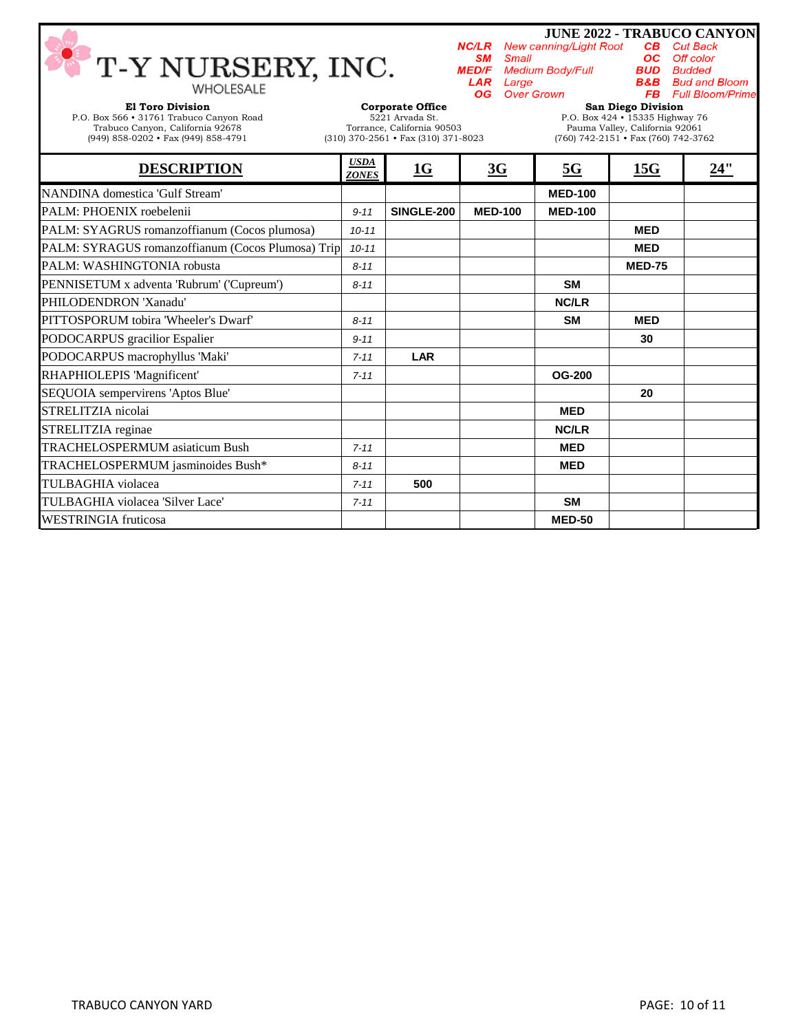| T-Y NURSERY, INC.<br>WHOLESALE<br><b>El Toro Division</b><br>P.O. Box 566 · 31761 Trabuco Canyon Road<br>Trabuco Canyon, California 92678<br>(949) 858-0202 • Fax (949) 858-4791 |                             | <b>Corporate Office</b><br>5221 Arvada St.<br>Torrance, California 90503<br>(310) 370-2561 • Fax (310) 371-8023 | NC/LR<br><b>SM</b><br><b>Small</b><br><b>MED/F</b> Medium Body/Full<br>LAR<br>Large<br><b>Over Grown</b><br>OG | <b>New canning/Light Root</b> | <b>OC</b><br><b>BUD</b> Budded<br><b>San Diego Division</b><br>P.O. Box 424 . 15335 Highway 76<br>Pauma Valley, California 92061<br>(760) 742-2151 • Fax (760) 742-3762 | <b>JUNE 2022 - TRABUCO CANYON</b><br><b>CB</b> Cut Back<br>Off color<br><b>B&amp;B</b> Bud and Bloom<br><b>FB</b> Full Bloom/Prime |
|----------------------------------------------------------------------------------------------------------------------------------------------------------------------------------|-----------------------------|-----------------------------------------------------------------------------------------------------------------|----------------------------------------------------------------------------------------------------------------|-------------------------------|-------------------------------------------------------------------------------------------------------------------------------------------------------------------------|------------------------------------------------------------------------------------------------------------------------------------|
| <b>DESCRIPTION</b>                                                                                                                                                               | <b>USDA</b><br><b>ZONES</b> | 1 <sub>G</sub>                                                                                                  | 3 <sub>G</sub>                                                                                                 | 5G                            | <u>15G</u>                                                                                                                                                              | 24"                                                                                                                                |
| <b>NANDINA</b> domestica 'Gulf Stream'                                                                                                                                           |                             |                                                                                                                 |                                                                                                                | <b>MED-100</b>                |                                                                                                                                                                         |                                                                                                                                    |
| PALM: PHOENIX roebelenii                                                                                                                                                         | $9 - 11$                    | SINGLE-200                                                                                                      | <b>MED-100</b>                                                                                                 | <b>MED-100</b>                |                                                                                                                                                                         |                                                                                                                                    |
| PALM: SYAGRUS romanzoffianum (Cocos plumosa)                                                                                                                                     | $10 - 11$                   |                                                                                                                 |                                                                                                                |                               | <b>MED</b>                                                                                                                                                              |                                                                                                                                    |
| PALM: SYRAGUS romanzoffianum (Cocos Plumosa) Trip                                                                                                                                | $10 - 11$                   |                                                                                                                 |                                                                                                                |                               | <b>MED</b>                                                                                                                                                              |                                                                                                                                    |
| PALM: WASHINGTONIA robusta                                                                                                                                                       | $8 - 11$                    |                                                                                                                 |                                                                                                                |                               | <b>MED-75</b>                                                                                                                                                           |                                                                                                                                    |
| PENNISETUM x adventa 'Rubrum' ('Cupreum')                                                                                                                                        | $8 - 11$                    |                                                                                                                 |                                                                                                                | <b>SM</b>                     |                                                                                                                                                                         |                                                                                                                                    |
| PHILODENDRON 'Xanadu'                                                                                                                                                            |                             |                                                                                                                 |                                                                                                                | <b>NC/LR</b>                  |                                                                                                                                                                         |                                                                                                                                    |
| PITTOSPORUM tobira 'Wheeler's Dwarf'                                                                                                                                             | $8 - 11$                    |                                                                                                                 |                                                                                                                | <b>SM</b>                     | <b>MED</b>                                                                                                                                                              |                                                                                                                                    |
| PODOCARPUS gracilior Espalier                                                                                                                                                    | $9 - 11$                    |                                                                                                                 |                                                                                                                |                               | 30                                                                                                                                                                      |                                                                                                                                    |
| PODOCARPUS macrophyllus 'Maki'                                                                                                                                                   | $7 - 11$                    | <b>LAR</b>                                                                                                      |                                                                                                                |                               |                                                                                                                                                                         |                                                                                                                                    |
| RHAPHIOLEPIS 'Magnificent'                                                                                                                                                       | $7 - 11$                    |                                                                                                                 |                                                                                                                | <b>OG-200</b>                 |                                                                                                                                                                         |                                                                                                                                    |
| SEQUOIA sempervirens 'Aptos Blue'                                                                                                                                                |                             |                                                                                                                 |                                                                                                                |                               | 20                                                                                                                                                                      |                                                                                                                                    |
| STRELITZIA nicolai                                                                                                                                                               |                             |                                                                                                                 |                                                                                                                | <b>MED</b>                    |                                                                                                                                                                         |                                                                                                                                    |
| STRELITZIA reginae                                                                                                                                                               |                             |                                                                                                                 |                                                                                                                | <b>NC/LR</b>                  |                                                                                                                                                                         |                                                                                                                                    |
| <b>TRACHELOSPERMUM</b> asiaticum Bush                                                                                                                                            | $7 - 11$                    |                                                                                                                 |                                                                                                                | <b>MED</b>                    |                                                                                                                                                                         |                                                                                                                                    |
| TRACHELOSPERMUM jasminoides Bush*                                                                                                                                                | $8 - 11$                    |                                                                                                                 |                                                                                                                | <b>MED</b>                    |                                                                                                                                                                         |                                                                                                                                    |
| TULBAGHIA violacea                                                                                                                                                               | $7 - 11$                    | 500                                                                                                             |                                                                                                                |                               |                                                                                                                                                                         |                                                                                                                                    |
| TULBAGHIA violacea 'Silver Lace'                                                                                                                                                 | $7 - 11$                    |                                                                                                                 |                                                                                                                | <b>SM</b>                     |                                                                                                                                                                         |                                                                                                                                    |
| <b>WESTRINGIA</b> fruticosa                                                                                                                                                      |                             |                                                                                                                 |                                                                                                                | <b>MED-50</b>                 |                                                                                                                                                                         |                                                                                                                                    |